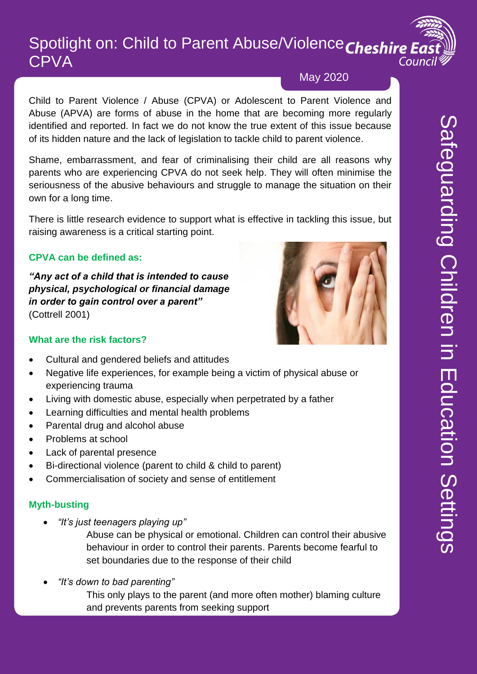## Spotlight on: Child to Parent Abuse/Violence Cheshire East **CPVA** Counci

## May 2020

Child to Parent Violence / Abuse (CPVA) or Adolescent to Parent Violence and Abuse (APVA) are forms of abuse in the home that are becoming more regularly identified and reported. In fact we do not know the true extent of this issue because of its hidden nature and the lack of legislation to tackle child to parent violence.

Shame, embarrassment, and fear of criminalising their child are all reasons why parents who are experiencing CPVA do not seek help. They will often minimise the seriousness of the abusive behaviours and struggle to manage the situation on their own for a long time.

There is little research evidence to support what is effective in tackling this issue, but raising awareness is a critical starting point.

## **CPVA can be defined as:**

*"Any act of a child that is intended to cause physical, psychological or financial damage in order to gain control over a parent"* (Cottrell 2001)



#### **What are the risk factors?**

- Cultural and gendered beliefs and attitudes
- Negative life experiences, for example being a victim of physical abuse or experiencing trauma
- Living with domestic abuse, especially when perpetrated by a father
- Learning difficulties and mental health problems
- Parental drug and alcohol abuse
- Problems at school
- Lack of parental presence
- Bi-directional violence (parent to child & child to parent)
- Commercialisation of society and sense of entitlement

#### **Myth-busting**

*"It's just teenagers playing up"*

Abuse can be physical or emotional. Children can control their abusive behaviour in order to control their parents. Parents become fearful to set boundaries due to the response of their child

*"It's down to bad parenting"* 

This only plays to the parent (and more often mother) blaming culture and prevents parents from seeking support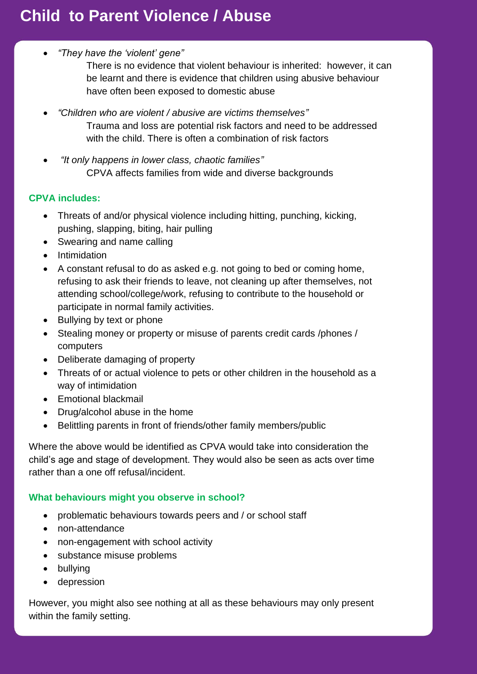# **Child to Parent Violence / Abuse**

*"They have the 'violent' gene"*

There is no evidence that violent behaviour is inherited: however, it can be learnt and there is evidence that children using abusive behaviour have often been exposed to domestic abuse

- *"Children who are violent / abusive are victims themselves"* Trauma and loss are potential risk factors and need to be addressed with the child. There is often a combination of risk factors
- *"It only happens in lower class, chaotic families"* CPVA affects families from wide and diverse backgrounds

#### **CPVA includes:**

- Threats of and/or physical violence including hitting, punching, kicking, pushing, slapping, biting, hair pulling
- Swearing and name calling
- Intimidation
- A constant refusal to do as asked e.g. not going to bed or coming home, refusing to ask their friends to leave, not cleaning up after themselves, not attending school/college/work, refusing to contribute to the household or participate in normal family activities.
- Bullying by text or phone
- Stealing money or property or misuse of parents credit cards /phones / computers
- Deliberate damaging of property
- Threats of or actual violence to pets or other children in the household as a way of intimidation
- Emotional blackmail
- Drug/alcohol abuse in the home
- Belittling parents in front of friends/other family members/public

Where the above would be identified as CPVA would take into consideration the child's age and stage of development. They would also be seen as acts over time rather than a one off refusal/incident.

#### **What behaviours might you observe in school?**

- problematic behaviours towards peers and / or school staff
- non-attendance
- non-engagement with school activity
- substance misuse problems
- bullying
- depression

However, you might also see nothing at all as these behaviours may only present within the family setting.